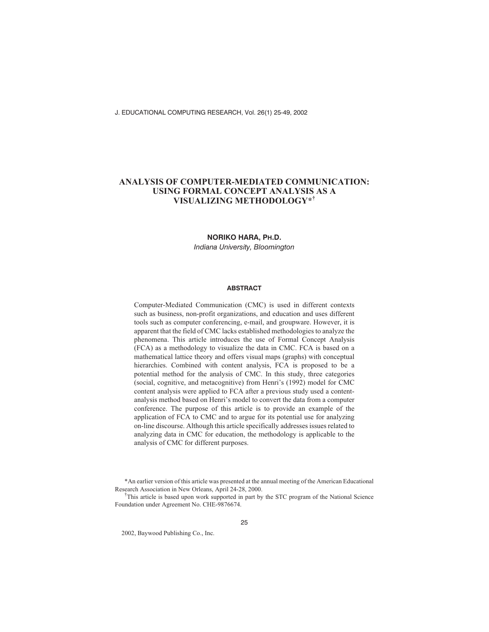# **ANALYSIS OF COMPUTER-MEDIATED COMMUNICATION: USING FORMAL CONCEPT ANALYSIS AS A VISUALIZING METHODOLOGY\*†**

#### **NORIKO HARA, PH.D.**

*Indiana University, Bloomington*

#### **ABSTRACT**

Computer-Mediated Communication (CMC) is used in different contexts such as business, non-profit organizations, and education and uses different tools such as computer conferencing, e-mail, and groupware. However, it is apparent that the field of CMC lacks established methodologies to analyze the phenomena. This article introduces the use of Formal Concept Analysis (FCA) as a methodology to visualize the data in CMC. FCA is based on a mathematical lattice theory and offers visual maps (graphs) with conceptual hierarchies. Combined with content analysis, FCA is proposed to be a potential method for the analysis of CMC. In this study, three categories (social, cognitive, and metacognitive) from Henri's (1992) model for CMC content analysis were applied to FCA after a previous study used a contentanalysis method based on Henri's model to convert the data from a computer conference. The purpose of this article is to provide an example of the application of FCA to CMC and to argue for its potential use for analyzing on-line discourse. Although this article specifically addresses issues related to analyzing data in CMC for education, the methodology is applicable to the analysis of CMC for different purposes.

\*An earlier version of this article was presented at the annual meeting of the American Educational Research Association in New Orleans, April 24-28, 2000.

<sup>†</sup>This article is based upon work supported in part by the STC program of the National Science Foundation under Agreement No. CHE-9876674.

2002, Baywood Publishing Co., Inc.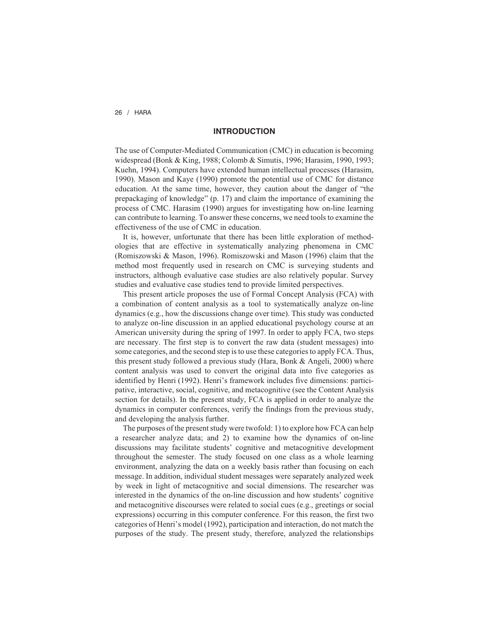# **INTRODUCTION**

The use of Computer-Mediated Communication (CMC) in education is becoming widespread (Bonk & King, 1988; Colomb & Simutis, 1996; Harasim, 1990, 1993; Kuehn, 1994). Computers have extended human intellectual processes (Harasim, 1990). Mason and Kaye (1990) promote the potential use of CMC for distance education. At the same time, however, they caution about the danger of "the prepackaging of knowledge" (p. 17) and claim the importance of examining the process of CMC. Harasim (1990) argues for investigating how on-line learning can contribute to learning. To answer these concerns, we need tools to examine the effectiveness of the use of CMC in education.

It is, however, unfortunate that there has been little exploration of methodologies that are effective in systematically analyzing phenomena in CMC (Romiszowski & Mason, 1996). Romiszowski and Mason (1996) claim that the method most frequently used in research on CMC is surveying students and instructors, although evaluative case studies are also relatively popular. Survey studies and evaluative case studies tend to provide limited perspectives.

This present article proposes the use of Formal Concept Analysis (FCA) with a combination of content analysis as a tool to systematically analyze on-line dynamics (e.g., how the discussions change over time). This study was conducted to analyze on-line discussion in an applied educational psychology course at an American university during the spring of 1997. In order to apply FCA, two steps are necessary. The first step is to convert the raw data (student messages) into some categories, and the second step is to use these categories to apply FCA. Thus, this present study followed a previous study (Hara, Bonk & Angeli, 2000) where content analysis was used to convert the original data into five categories as identified by Henri (1992). Henri's framework includes five dimensions: participative, interactive, social, cognitive, and metacognitive (see the Content Analysis section for details). In the present study, FCA is applied in order to analyze the dynamics in computer conferences, verify the findings from the previous study, and developing the analysis further.

The purposes of the present study were twofold: 1) to explore how FCA can help a researcher analyze data; and 2) to examine how the dynamics of on-line discussions may facilitate students' cognitive and metacognitive development throughout the semester. The study focused on one class as a whole learning environment, analyzing the data on a weekly basis rather than focusing on each message. In addition, individual student messages were separately analyzed week by week in light of metacognitive and social dimensions. The researcher was interested in the dynamics of the on-line discussion and how students' cognitive and metacognitive discourses were related to social cues (e.g., greetings or social expressions) occurring in this computer conference. For this reason, the first two categories of Henri's model (1992), participation and interaction, do not match the purposes of the study. The present study, therefore, analyzed the relationships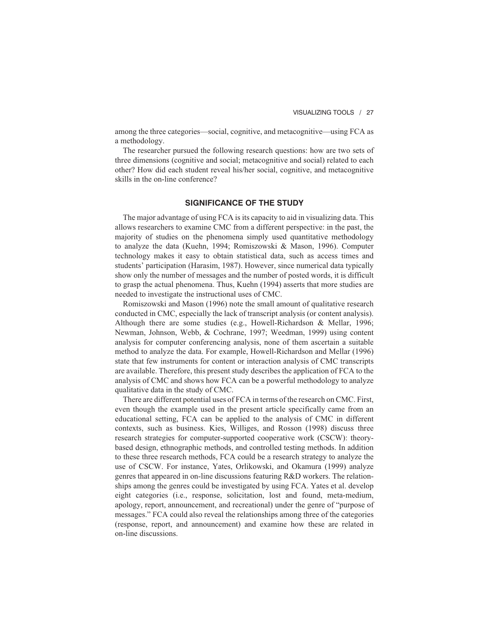among the three categories—social, cognitive, and metacognitive—using FCA as a methodology.

The researcher pursued the following research questions: how are two sets of three dimensions (cognitive and social; metacognitive and social) related to each other? How did each student reveal his/her social, cognitive, and metacognitive skills in the on-line conference?

### **SIGNIFICANCE OF THE STUDY**

The major advantage of using FCA is its capacity to aid in visualizing data. This allows researchers to examine CMC from a different perspective: in the past, the majority of studies on the phenomena simply used quantitative methodology to analyze the data (Kuehn, 1994; Romiszowski & Mason, 1996). Computer technology makes it easy to obtain statistical data, such as access times and students' participation (Harasim, 1987). However, since numerical data typically show only the number of messages and the number of posted words, it is difficult to grasp the actual phenomena. Thus, Kuehn (1994) asserts that more studies are needed to investigate the instructional uses of CMC.

Romiszowski and Mason (1996) note the small amount of qualitative research conducted in CMC, especially the lack of transcript analysis (or content analysis). Although there are some studies (e.g., Howell-Richardson & Mellar, 1996; Newman, Johnson, Webb, & Cochrane, 1997; Weedman, 1999) using content analysis for computer conferencing analysis, none of them ascertain a suitable method to analyze the data. For example, Howell-Richardson and Mellar (1996) state that few instruments for content or interaction analysis of CMC transcripts are available. Therefore, this present study describes the application of FCA to the analysis of CMC and shows how FCA can be a powerful methodology to analyze qualitative data in the study of CMC.

There are different potential uses of FCA in terms of the research on CMC. First, even though the example used in the present article specifically came from an educational setting, FCA can be applied to the analysis of CMC in different contexts, such as business. Kies, Williges, and Rosson (1998) discuss three research strategies for computer-supported cooperative work (CSCW): theorybased design, ethnographic methods, and controlled testing methods. In addition to these three research methods, FCA could be a research strategy to analyze the use of CSCW. For instance, Yates, Orlikowski, and Okamura (1999) analyze genres that appeared in on-line discussions featuring R&D workers. The relationships among the genres could be investigated by using FCA. Yates et al. develop eight categories (i.e., response, solicitation, lost and found, meta-medium, apology, report, announcement, and recreational) under the genre of "purpose of messages." FCA could also reveal the relationships among three of the categories (response, report, and announcement) and examine how these are related in on-line discussions.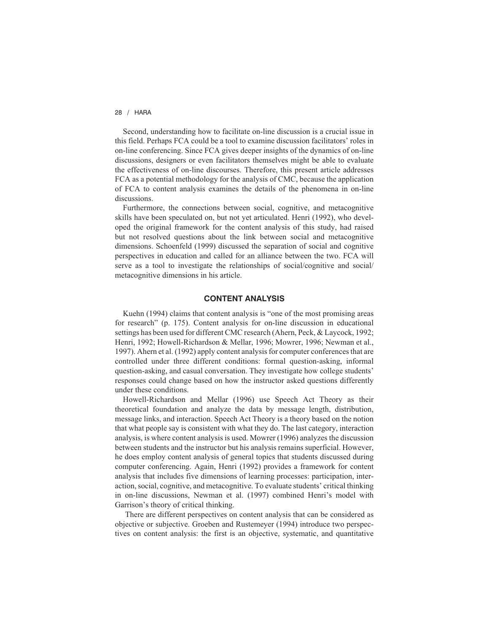Second, understanding how to facilitate on-line discussion is a crucial issue in this field. Perhaps FCA could be a tool to examine discussion facilitators' roles in on-line conferencing. Since FCA gives deeper insights of the dynamics of on-line discussions, designers or even facilitators themselves might be able to evaluate the effectiveness of on-line discourses. Therefore, this present article addresses FCA as a potential methodology for the analysis of CMC, because the application of FCA to content analysis examines the details of the phenomena in on-line discussions.

Furthermore, the connections between social, cognitive, and metacognitive skills have been speculated on, but not yet articulated. Henri (1992), who developed the original framework for the content analysis of this study, had raised but not resolved questions about the link between social and metacognitive dimensions. Schoenfeld (1999) discussed the separation of social and cognitive perspectives in education and called for an alliance between the two. FCA will serve as a tool to investigate the relationships of social/cognitive and social/ metacognitive dimensions in his article.

# **CONTENT ANALYSIS**

Kuehn (1994) claims that content analysis is "one of the most promising areas for research" (p. 175). Content analysis for on-line discussion in educational settings has been used for different CMC research (Ahern, Peck, & Laycock, 1992; Henri, 1992; Howell-Richardson & Mellar, 1996; Mowrer, 1996; Newman et al., 1997). Ahern et al. (1992) apply content analysis for computer conferences that are controlled under three different conditions: formal question-asking, informal question-asking, and casual conversation. They investigate how college students' responses could change based on how the instructor asked questions differently under these conditions.

Howell-Richardson and Mellar (1996) use Speech Act Theory as their theoretical foundation and analyze the data by message length, distribution, message links, and interaction. Speech Act Theory is a theory based on the notion that what people say is consistent with what they do. The last category, interaction analysis, is where content analysis is used. Mowrer (1996) analyzes the discussion between students and the instructor but his analysis remains superficial. However, he does employ content analysis of general topics that students discussed during computer conferencing. Again, Henri (1992) provides a framework for content analysis that includes five dimensions of learning processes: participation, interaction, social, cognitive, and metacognitive. To evaluate students' critical thinking in on-line discussions, Newman et al. (1997) combined Henri's model with Garrison's theory of critical thinking.

There are different perspectives on content analysis that can be considered as objective or subjective. Groeben and Rustemeyer (1994) introduce two perspectives on content analysis: the first is an objective, systematic, and quantitative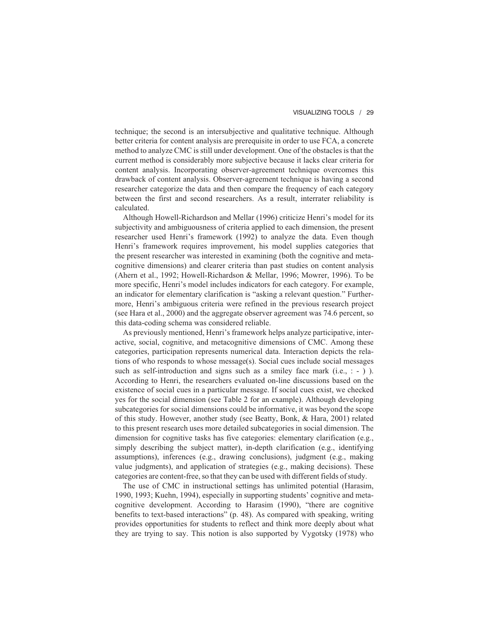#### VISUALIZING TOOLS / 29

technique; the second is an intersubjective and qualitative technique. Although better criteria for content analysis are prerequisite in order to use FCA, a concrete method to analyze CMC is still under development. One of the obstacles is that the current method is considerably more subjective because it lacks clear criteria for content analysis. Incorporating observer-agreement technique overcomes this drawback of content analysis. Observer-agreement technique is having a second researcher categorize the data and then compare the frequency of each category between the first and second researchers. As a result, interrater reliability is calculated.

Although Howell-Richardson and Mellar (1996) criticize Henri's model for its subjectivity and ambiguousness of criteria applied to each dimension, the present researcher used Henri's framework (1992) to analyze the data. Even though Henri's framework requires improvement, his model supplies categories that the present researcher was interested in examining (both the cognitive and metacognitive dimensions) and clearer criteria than past studies on content analysis (Ahern et al., 1992; Howell-Richardson & Mellar, 1996; Mowrer, 1996). To be more specific, Henri's model includes indicators for each category. For example, an indicator for elementary clarification is "asking a relevant question." Furthermore, Henri's ambiguous criteria were refined in the previous research project (see Hara et al., 2000) and the aggregate observer agreement was 74.6 percent, so this data-coding schema was considered reliable.

As previously mentioned, Henri's framework helps analyze participative, interactive, social, cognitive, and metacognitive dimensions of CMC. Among these categories, participation represents numerical data. Interaction depicts the relations of who responds to whose message $(s)$ . Social cues include social messages such as self-introduction and signs such as a smiley face mark  $(i.e., : -)$ ). According to Henri, the researchers evaluated on-line discussions based on the existence of social cues in a particular message. If social cues exist, we checked yes for the social dimension (see Table 2 for an example). Although developing subcategories for social dimensions could be informative, it was beyond the scope of this study. However, another study (see Beatty, Bonk, & Hara, 2001) related to this present research uses more detailed subcategories in social dimension. The dimension for cognitive tasks has five categories: elementary clarification (e.g., simply describing the subject matter), in-depth clarification (e.g., identifying assumptions), inferences (e.g., drawing conclusions), judgment (e.g., making value judgments), and application of strategies (e.g., making decisions). These categories are content-free, so that they can be used with different fields of study.

The use of CMC in instructional settings has unlimited potential (Harasim, 1990, 1993; Kuehn, 1994), especially in supporting students' cognitive and metacognitive development. According to Harasim (1990), "there are cognitive benefits to text-based interactions" (p. 48). As compared with speaking, writing provides opportunities for students to reflect and think more deeply about what they are trying to say. This notion is also supported by Vygotsky (1978) who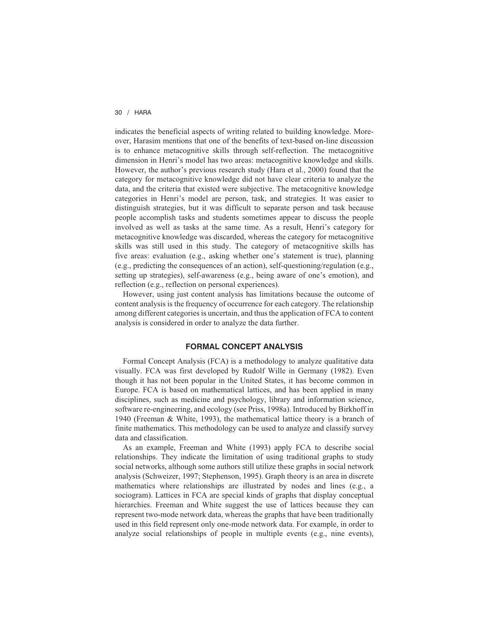indicates the beneficial aspects of writing related to building knowledge. Moreover, Harasim mentions that one of the benefits of text-based on-line discussion is to enhance metacognitive skills through self-reflection. The metacognitive dimension in Henri's model has two areas: metacognitive knowledge and skills. However, the author's previous research study (Hara et al., 2000) found that the category for metacognitive knowledge did not have clear criteria to analyze the data, and the criteria that existed were subjective. The metacognitive knowledge categories in Henri's model are person, task, and strategies. It was easier to distinguish strategies, but it was difficult to separate person and task because people accomplish tasks and students sometimes appear to discuss the people involved as well as tasks at the same time. As a result, Henri's category for metacognitive knowledge was discarded, whereas the category for metacognitive skills was still used in this study. The category of metacognitive skills has five areas: evaluation (e.g., asking whether one's statement is true), planning (e.g., predicting the consequences of an action), self-questioning/regulation (e.g., setting up strategies), self-awareness (e.g., being aware of one's emotion), and reflection (e.g., reflection on personal experiences).

However, using just content analysis has limitations because the outcome of content analysis is the frequency of occurrence for each category. The relationship among different categories is uncertain, and thus the application of FCA to content analysis is considered in order to analyze the data further.

## **FORMAL CONCEPT ANALYSIS**

Formal Concept Analysis (FCA) is a methodology to analyze qualitative data visually. FCA was first developed by Rudolf Wille in Germany (1982). Even though it has not been popular in the United States, it has become common in Europe. FCA is based on mathematical lattices, and has been applied in many disciplines, such as medicine and psychology, library and information science, software re-engineering, and ecology (see Priss, 1998a). Introduced by Birkhoff in 1940 (Freeman & White, 1993), the mathematical lattice theory is a branch of finite mathematics. This methodology can be used to analyze and classify survey data and classification.

As an example, Freeman and White (1993) apply FCA to describe social relationships. They indicate the limitation of using traditional graphs to study social networks, although some authors still utilize these graphs in social network analysis (Schweizer, 1997; Stephenson, 1995). Graph theory is an area in discrete mathematics where relationships are illustrated by nodes and lines (e.g., a sociogram). Lattices in FCA are special kinds of graphs that display conceptual hierarchies. Freeman and White suggest the use of lattices because they can represent two-mode network data, whereas the graphs that have been traditionally used in this field represent only one-mode network data. For example, in order to analyze social relationships of people in multiple events (e.g., nine events),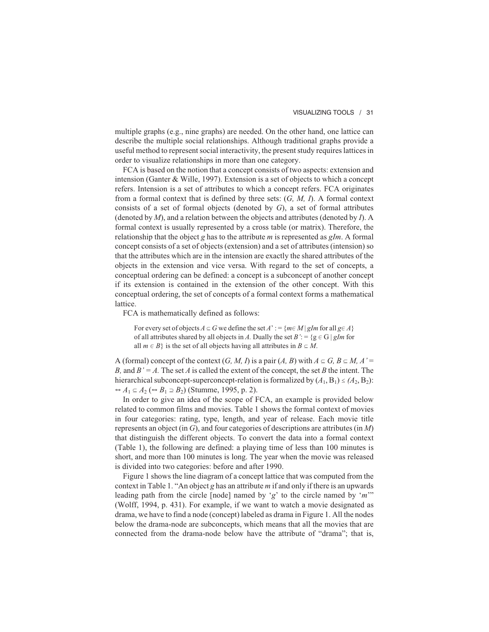multiple graphs (e.g., nine graphs) are needed. On the other hand, one lattice can describe the multiple social relationships. Although traditional graphs provide a useful method to represent social interactivity, the present study requires lattices in order to visualize relationships in more than one category.

FCA is based on the notion that a concept consists of two aspects: extension and intension (Ganter & Wille, 1997). Extension is a set of objects to which a concept refers. Intension is a set of attributes to which a concept refers. FCA originates from a formal context that is defined by three sets: (*G, M, I*). A formal context consists of a set of formal objects (denoted by *G*), a set of formal attributes (denoted by *M*), and a relation between the objects and attributes (denoted by *I*). A formal context is usually represented by a cross table (or matrix). Therefore, the relationship that the object *g* has to the attribute *m* is represented as *gIm*. A formal concept consists of a set of objects (extension) and a set of attributes (intension) so that the attributes which are in the intension are exactly the shared attributes of the objects in the extension and vice versa. With regard to the set of concepts, a conceptual ordering can be defined: a concept is a subconcept of another concept if its extension is contained in the extension of the other concept. With this conceptual ordering, the set of concepts of a formal context forms a mathematical lattice.

FCA is mathematically defined as follows:

For every set of objects  $A \subseteq G$  we define the set  $A' := \{m \in M \mid gIm$  for all  $g \in A\}$ of all attributes shared by all objects in *A*. Dually the set  $B' := \{g \in G \mid g/m$  for all  $m \in B$ } is the set of all objects having all attributes in  $B \subseteq M$ .

A (formal) concept of the context  $(G, M, I)$  is a pair  $(A, B)$  with  $A \subseteq G, B \subseteq M, A' =$ *B*, and  $B' = A$ . The set *A* is called the extent of the concept, the set *B* the intent. The hierarchical subconcept-superconcept-relation is formalized by  $(A_1, B_1) \leq (A_2, B_2)$ :  $A_1 \subseteq A_2$  ( $\Rightarrow B_1 \supseteq B_2$ ) (Stumme, 1995, p. 2).

In order to give an idea of the scope of FCA, an example is provided below related to common films and movies. Table 1 shows the formal context of movies in four categories: rating, type, length, and year of release. Each movie title represents an object (in *G*), and four categories of descriptions are attributes (in *M*) that distinguish the different objects. To convert the data into a formal context (Table 1), the following are defined: a playing time of less than 100 minutes is short, and more than 100 minutes is long. The year when the movie was released is divided into two categories: before and after 1990.

Figure 1 shows the line diagram of a concept lattice that was computed from the context in Table 1. "An object *g* has an attribute *m* if and only if there is an upwards leading path from the circle [node] named by '*g*' to the circle named by '*m*'" (Wolff, 1994, p. 431). For example, if we want to watch a movie designated as drama, we have to find a node (concept) labeled as drama in Figure 1. All the nodes below the drama-node are subconcepts, which means that all the movies that are connected from the drama-node below have the attribute of "drama"; that is,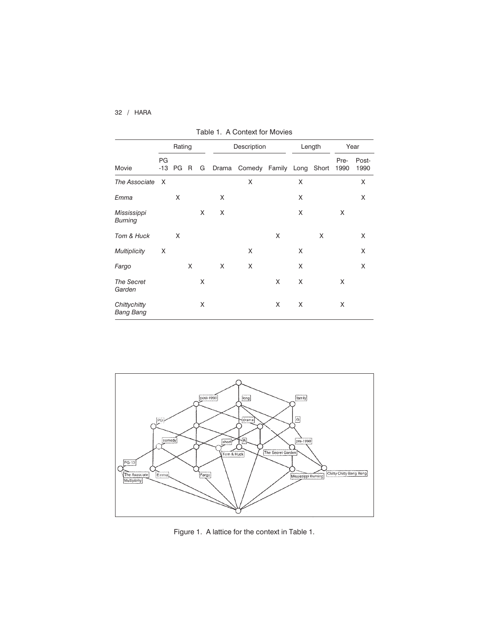|                               | Rating      |    |   |   | Description |                          |   | Length |   | Year         |               |
|-------------------------------|-------------|----|---|---|-------------|--------------------------|---|--------|---|--------------|---------------|
| Movie                         | PG<br>$-13$ | PG | R | G | Drama       | Comedy Family Long Short |   |        |   | Pre-<br>1990 | Post-<br>1990 |
| The Associate                 | X           |    |   |   |             | X                        |   | X      |   |              | X             |
| Emma                          |             | X  |   |   | X           |                          |   | X      |   |              | X             |
| Mississippi<br><b>Burning</b> |             |    |   | X | X           |                          |   | X      |   | X            |               |
| Tom & Huck                    |             | X  |   |   |             |                          | X |        | X |              | X             |
| <b>Multiplicity</b>           | Χ           |    |   |   |             | X                        |   | X      |   |              | X             |
| Fargo                         |             |    | X |   | X           | X                        |   | X      |   |              | X             |
| <b>The Secret</b><br>Garden   |             |    |   | X |             |                          | X | X      |   | X            |               |
| Chittychitty<br>Bang Bang     |             |    |   | X |             |                          | X | X      |   | X            |               |

Table 1. A Context for Movies



Figure 1. A lattice for the context in Table 1.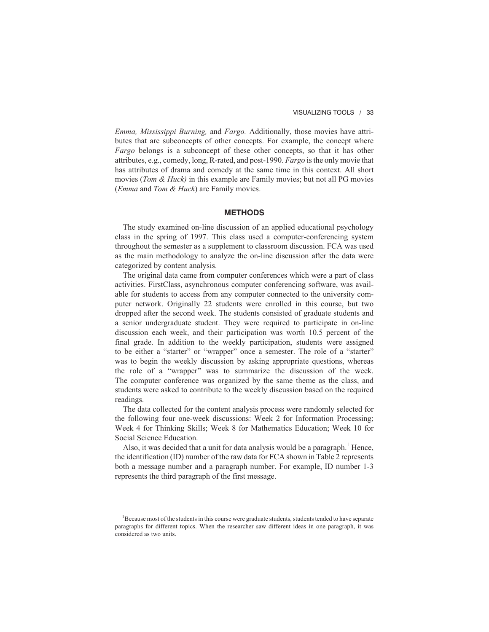*Emma, Mississippi Burning,* and *Fargo.* Additionally, those movies have attributes that are subconcepts of other concepts. For example, the concept where *Fargo* belongs is a subconcept of these other concepts, so that it has other attributes, e.g., comedy, long, R-rated, and post-1990. *Fargo* is the only movie that has attributes of drama and comedy at the same time in this context. All short movies (*Tom & Huck)* in this example are Family movies; but not all PG movies (*Emma* and *Tom & Huck*) are Family movies.

#### **METHODS**

The study examined on-line discussion of an applied educational psychology class in the spring of 1997. This class used a computer-conferencing system throughout the semester as a supplement to classroom discussion. FCA was used as the main methodology to analyze the on-line discussion after the data were categorized by content analysis.

The original data came from computer conferences which were a part of class activities. FirstClass, asynchronous computer conferencing software, was available for students to access from any computer connected to the university computer network. Originally 22 students were enrolled in this course, but two dropped after the second week. The students consisted of graduate students and a senior undergraduate student. They were required to participate in on-line discussion each week, and their participation was worth 10.5 percent of the final grade. In addition to the weekly participation, students were assigned to be either a "starter" or "wrapper" once a semester. The role of a "starter" was to begin the weekly discussion by asking appropriate questions, whereas the role of a "wrapper" was to summarize the discussion of the week. The computer conference was organized by the same theme as the class, and students were asked to contribute to the weekly discussion based on the required readings.

The data collected for the content analysis process were randomly selected for the following four one-week discussions: Week 2 for Information Processing; Week 4 for Thinking Skills; Week 8 for Mathematics Education; Week 10 for Social Science Education.

Also, it was decided that a unit for data analysis would be a paragraph.<sup>1</sup> Hence, the identification (ID) number of the raw data for FCA shown in Table 2 represents both a message number and a paragraph number. For example, ID number 1-3 represents the third paragraph of the first message.

<sup>&</sup>lt;sup>1</sup>Because most of the students in this course were graduate students, students tended to have separate paragraphs for different topics. When the researcher saw different ideas in one paragraph, it was considered as two units.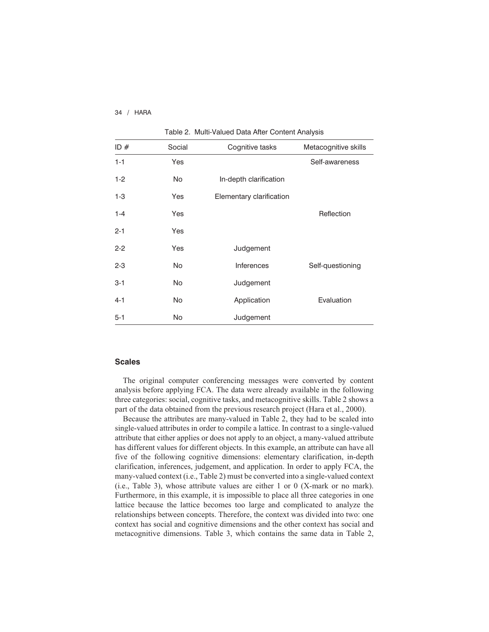| ID#     | Social    | Cognitive tasks          | Metacognitive skills |  |  |  |  |
|---------|-----------|--------------------------|----------------------|--|--|--|--|
| $1 - 1$ | Yes       |                          | Self-awareness       |  |  |  |  |
| $1-2$   | <b>No</b> | In-depth clarification   |                      |  |  |  |  |
| $1 - 3$ | Yes       | Elementary clarification |                      |  |  |  |  |
| $1 - 4$ | Yes       |                          | Reflection           |  |  |  |  |
| $2 - 1$ | Yes       |                          |                      |  |  |  |  |
| $2 - 2$ | Yes       | Judgement                |                      |  |  |  |  |
| $2 - 3$ | <b>No</b> | <b>Inferences</b>        | Self-questioning     |  |  |  |  |
| $3 - 1$ | <b>No</b> | Judgement                |                      |  |  |  |  |
| $4 - 1$ | <b>No</b> | Application              | Evaluation           |  |  |  |  |
| $5 - 1$ | No        | Judgement                |                      |  |  |  |  |

Table 2. Multi-Valued Data After Content Analysis

#### **Scales**

The original computer conferencing messages were converted by content analysis before applying FCA. The data were already available in the following three categories: social, cognitive tasks, and metacognitive skills. Table 2 shows a part of the data obtained from the previous research project (Hara et al., 2000).

Because the attributes are many-valued in Table 2, they had to be scaled into single-valued attributes in order to compile a lattice. In contrast to a single-valued attribute that either applies or does not apply to an object, a many-valued attribute has different values for different objects. In this example, an attribute can have all five of the following cognitive dimensions: elementary clarification, in-depth clarification, inferences, judgement, and application. In order to apply FCA, the many-valued context (i.e., Table 2) must be converted into a single-valued context (i.e., Table 3), whose attribute values are either 1 or 0 (X-mark or no mark). Furthermore, in this example, it is impossible to place all three categories in one lattice because the lattice becomes too large and complicated to analyze the relationships between concepts. Therefore, the context was divided into two: one context has social and cognitive dimensions and the other context has social and metacognitive dimensions. Table 3, which contains the same data in Table 2,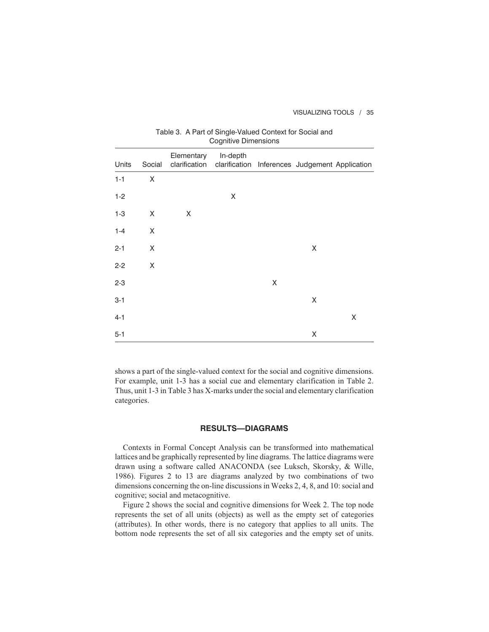#### VISUALIZING TOOLS / 35

| Cognitive Dimensions |        |            |                                                                          |   |   |   |  |  |
|----------------------|--------|------------|--------------------------------------------------------------------------|---|---|---|--|--|
| Units                | Social | Elementary | In-depth<br>clarification clarification Inferences Judgement Application |   |   |   |  |  |
| $1 - 1$              | X      |            |                                                                          |   |   |   |  |  |
| $1 - 2$              |        |            | Χ                                                                        |   |   |   |  |  |
| $1 - 3$              | X      | X          |                                                                          |   |   |   |  |  |
| $1 - 4$              | X      |            |                                                                          |   |   |   |  |  |
| $2 - 1$              | X      |            |                                                                          |   | Χ |   |  |  |
| $2 - 2$              | X      |            |                                                                          |   |   |   |  |  |
| $2 - 3$              |        |            |                                                                          | Χ |   |   |  |  |
| $3 - 1$              |        |            |                                                                          |   | Χ |   |  |  |
| $4 - 1$              |        |            |                                                                          |   |   | X |  |  |
| $5-1$                |        |            |                                                                          |   | Χ |   |  |  |

# Table 3. A Part of Single-Valued Context for Social and Cognitive Dimension

shows a part of the single-valued context for the social and cognitive dimensions. For example, unit 1-3 has a social cue and elementary clarification in Table 2. Thus, unit 1-3 in Table 3 has X-marks under the social and elementary clarification categories.

## **RESULTS—DIAGRAMS**

Contexts in Formal Concept Analysis can be transformed into mathematical lattices and be graphically represented by line diagrams. The lattice diagrams were drawn using a software called ANACONDA (see Luksch, Skorsky, & Wille, 1986). Figures 2 to 13 are diagrams analyzed by two combinations of two dimensions concerning the on-line discussions in Weeks 2, 4, 8, and 10: social and cognitive; social and metacognitive.

Figure 2 shows the social and cognitive dimensions for Week 2. The top node represents the set of all units (objects) as well as the empty set of categories (attributes). In other words, there is no category that applies to all units. The bottom node represents the set of all six categories and the empty set of units.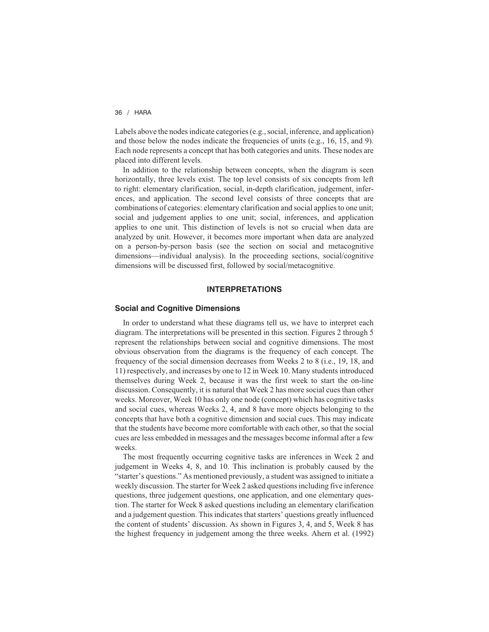Labels above the nodes indicate categories (e.g., social, inference, and application) and those below the nodes indicate the frequencies of units (e.g., 16, 15, and 9). Each node represents a concept that has both categories and units. These nodes are placed into different levels.

In addition to the relationship between concepts, when the diagram is seen horizontally, three levels exist. The top level consists of six concepts from left to right: elementary clarification, social, in-depth clarification, judgement, inferences, and application. The second level consists of three concepts that are combinations of categories: elementary clarification and social applies to one unit; social and judgement applies to one unit; social, inferences, and application applies to one unit. This distinction of levels is not so crucial when data are analyzed by unit. However, it becomes more important when data are analyzed on a person-by-person basis (see the section on social and metacognitive dimensions—individual analysis). In the proceeding sections, social/cognitive dimensions will be discussed first, followed by social/metacognitive.

# **INTERPRETATIONS**

#### **Social and Cognitive Dimensions**

In order to understand what these diagrams tell us, we have to interpret each diagram. The interpretations will be presented in this section. Figures 2 through 5 represent the relationships between social and cognitive dimensions. The most obvious observation from the diagrams is the frequency of each concept. The frequency of the social dimension decreases from Weeks 2 to 8 (i.e., 19, 18, and 11) respectively, and increases by one to 12 in Week 10. Many students introduced themselves during Week 2, because it was the first week to start the on-line discussion. Consequently, it is natural that Week 2 has more social cues than other weeks. Moreover, Week 10 has only one node (concept) which has cognitive tasks and social cues, whereas Weeks 2, 4, and 8 have more objects belonging to the concepts that have both a cognitive dimension and social cues. This may indicate that the students have become more comfortable with each other, so that the social cues are less embedded in messages and the messages become informal after a few weeks.

The most frequently occurring cognitive tasks are inferences in Week 2 and judgement in Weeks 4, 8, and 10. This inclination is probably caused by the "starter's questions." As mentioned previously, a student was assigned to initiate a weekly discussion. The starter for Week 2 asked questions including five inference questions, three judgement questions, one application, and one elementary question. The starter for Week 8 asked questions including an elementary clarification and a judgement question. This indicates that starters' questions greatly influenced the content of students' discussion. As shown in Figures 3, 4, and 5, Week 8 has the highest frequency in judgement among the three weeks. Ahern et al. (1992)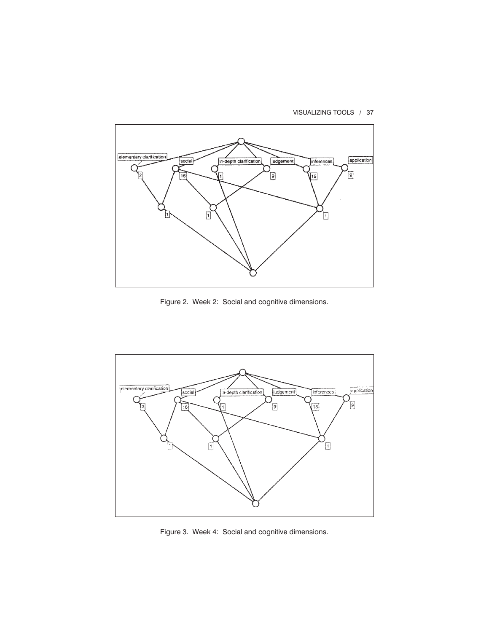



Figure 2. Week 2: Social and cognitive dimensions.



Figure 3. Week 4: Social and cognitive dimensions.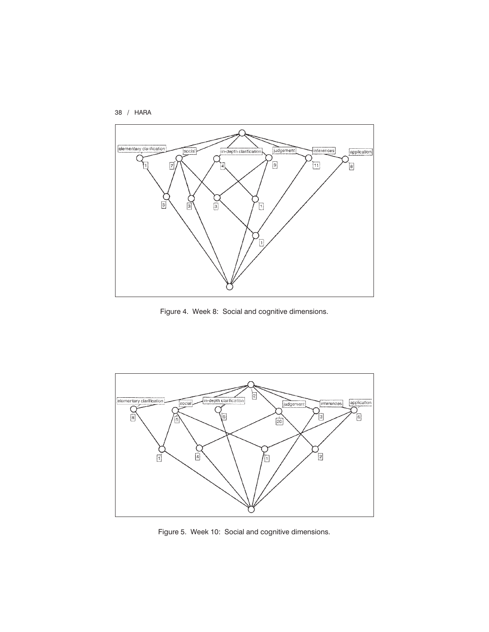



Figure 4. Week 8: Social and cognitive dimensions.



Figure 5. Week 10: Social and cognitive dimensions.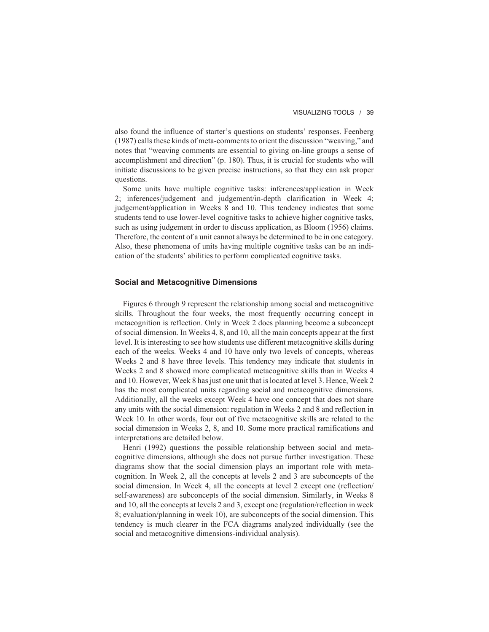also found the influence of starter's questions on students' responses. Feenberg (1987) calls these kinds of meta-comments to orient the discussion "weaving," and notes that "weaving comments are essential to giving on-line groups a sense of accomplishment and direction" (p. 180). Thus, it is crucial for students who will initiate discussions to be given precise instructions, so that they can ask proper questions.

Some units have multiple cognitive tasks: inferences/application in Week 2; inferences/judgement and judgement/in-depth clarification in Week 4; judgement/application in Weeks 8 and 10. This tendency indicates that some students tend to use lower-level cognitive tasks to achieve higher cognitive tasks, such as using judgement in order to discuss application, as Bloom (1956) claims. Therefore, the content of a unit cannot always be determined to be in one category. Also, these phenomena of units having multiple cognitive tasks can be an indication of the students' abilities to perform complicated cognitive tasks.

### **Social and Metacognitive Dimensions**

Figures 6 through 9 represent the relationship among social and metacognitive skills. Throughout the four weeks, the most frequently occurring concept in metacognition is reflection. Only in Week 2 does planning become a subconcept of social dimension. In Weeks 4, 8, and 10, all the main concepts appear at the first level. It is interesting to see how students use different metacognitive skills during each of the weeks. Weeks 4 and 10 have only two levels of concepts, whereas Weeks 2 and 8 have three levels. This tendency may indicate that students in Weeks 2 and 8 showed more complicated metacognitive skills than in Weeks 4 and 10. However, Week 8 has just one unit that is located at level 3. Hence, Week 2 has the most complicated units regarding social and metacognitive dimensions. Additionally, all the weeks except Week 4 have one concept that does not share any units with the social dimension: regulation in Weeks 2 and 8 and reflection in Week 10. In other words, four out of five metacognitive skills are related to the social dimension in Weeks 2, 8, and 10. Some more practical ramifications and interpretations are detailed below.

Henri (1992) questions the possible relationship between social and metacognitive dimensions, although she does not pursue further investigation. These diagrams show that the social dimension plays an important role with metacognition. In Week 2, all the concepts at levels 2 and 3 are subconcepts of the social dimension. In Week 4, all the concepts at level 2 except one (reflection/ self-awareness) are subconcepts of the social dimension. Similarly, in Weeks 8 and 10, all the concepts at levels 2 and 3, except one (regulation/reflection in week 8; evaluation/planning in week 10), are subconcepts of the social dimension. This tendency is much clearer in the FCA diagrams analyzed individually (see the social and metacognitive dimensions-individual analysis).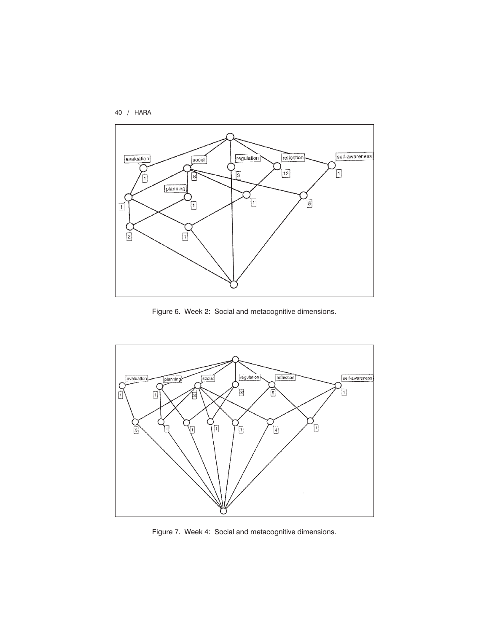



Figure 6. Week 2: Social and metacognitive dimensions.



Figure 7. Week 4: Social and metacognitive dimensions.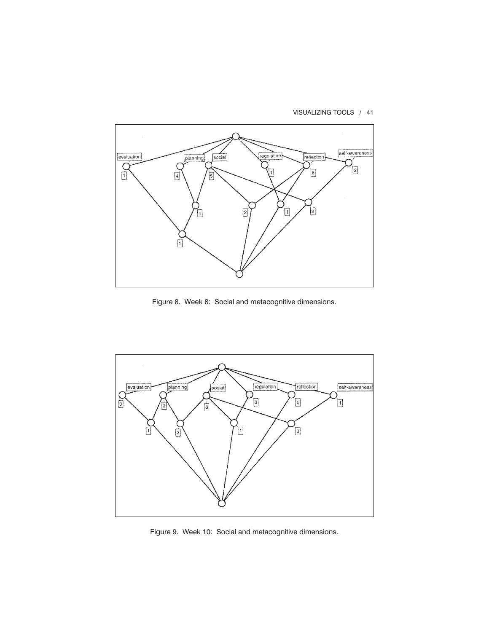VISUALIZING TOOLS / 41



Figure 8. Week 8: Social and metacognitive dimensions.



Figure 9. Week 10: Social and metacognitive dimensions.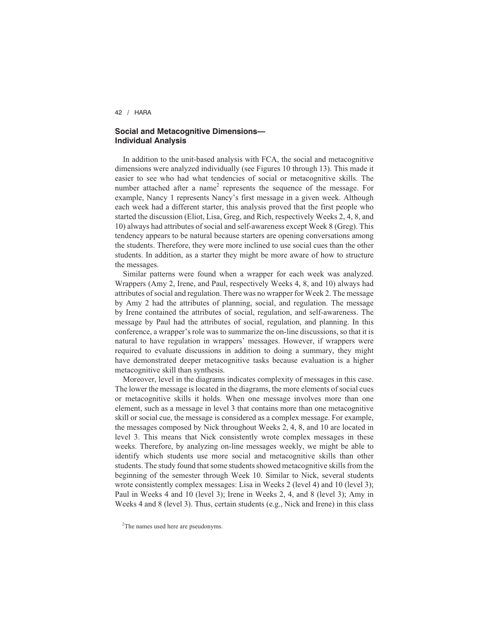# **Social and Metacognitive Dimensions— Individual Analysis**

In addition to the unit-based analysis with FCA, the social and metacognitive dimensions were analyzed individually (see Figures 10 through 13). This made it easier to see who had what tendencies of social or metacognitive skills. The number attached after a name<sup>2</sup> represents the sequence of the message. For example, Nancy 1 represents Nancy's first message in a given week. Although each week had a different starter, this analysis proved that the first people who started the discussion (Eliot, Lisa, Greg, and Rich, respectively Weeks 2, 4, 8, and 10) always had attributes of social and self-awareness except Week 8 (Greg). This tendency appears to be natural because starters are opening conversations among the students. Therefore, they were more inclined to use social cues than the other students. In addition, as a starter they might be more aware of how to structure the messages.

Similar patterns were found when a wrapper for each week was analyzed. Wrappers (Amy 2, Irene, and Paul, respectively Weeks 4, 8, and 10) always had attributes of social and regulation. There was no wrapper for Week 2. The message by Amy 2 had the attributes of planning, social, and regulation. The message by Irene contained the attributes of social, regulation, and self-awareness. The message by Paul had the attributes of social, regulation, and planning. In this conference, a wrapper's role was to summarize the on-line discussions, so that it is natural to have regulation in wrappers' messages. However, if wrappers were required to evaluate discussions in addition to doing a summary, they might have demonstrated deeper metacognitive tasks because evaluation is a higher metacognitive skill than synthesis.

Moreover, level in the diagrams indicates complexity of messages in this case. The lower the message is located in the diagrams, the more elements of social cues or metacognitive skills it holds. When one message involves more than one element, such as a message in level 3 that contains more than one metacognitive skill or social cue, the message is considered as a complex message. For example, the messages composed by Nick throughout Weeks 2, 4, 8, and 10 are located in level 3. This means that Nick consistently wrote complex messages in these weeks. Therefore, by analyzing on-line messages weekly, we might be able to identify which students use more social and metacognitive skills than other students. The study found that some students showed metacognitive skills from the beginning of the semester through Week 10. Similar to Nick, several students wrote consistently complex messages: Lisa in Weeks 2 (level 4) and 10 (level 3); Paul in Weeks 4 and 10 (level 3); Irene in Weeks 2, 4, and 8 (level 3); Amy in Weeks 4 and 8 (level 3). Thus, certain students (e.g., Nick and Irene) in this class

<sup>&</sup>lt;sup>2</sup>The names used here are pseudonyms.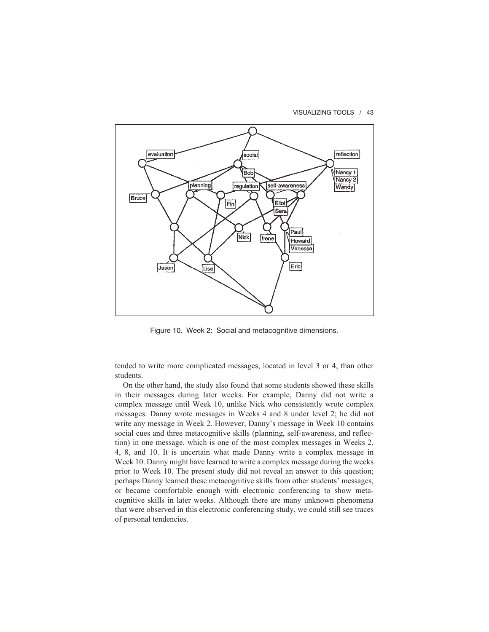VISUALIZING TOOLS / 43



Figure 10. Week 2: Social and metacognitive dimensions.

tended to write more complicated messages, located in level 3 or 4, than other students.

On the other hand, the study also found that some students showed these skills in their messages during later weeks. For example, Danny did not write a complex message until Week 10, unlike Nick who consistently wrote complex messages. Danny wrote messages in Weeks 4 and 8 under level 2; he did not write any message in Week 2. However, Danny's message in Week 10 contains social cues and three metacognitive skills (planning, self-awareness, and reflection) in one message, which is one of the most complex messages in Weeks 2, 4, 8, and 10. It is uncertain what made Danny write a complex message in Week 10. Danny might have learned to write a complex message during the weeks prior to Week 10. The present study did not reveal an answer to this question; perhaps Danny learned these metacognitive skills from other students' messages, or became comfortable enough with electronic conferencing to show metacognitive skills in later weeks. Although there are many unknown phenomena that were observed in this electronic conferencing study, we could still see traces of personal tendencies.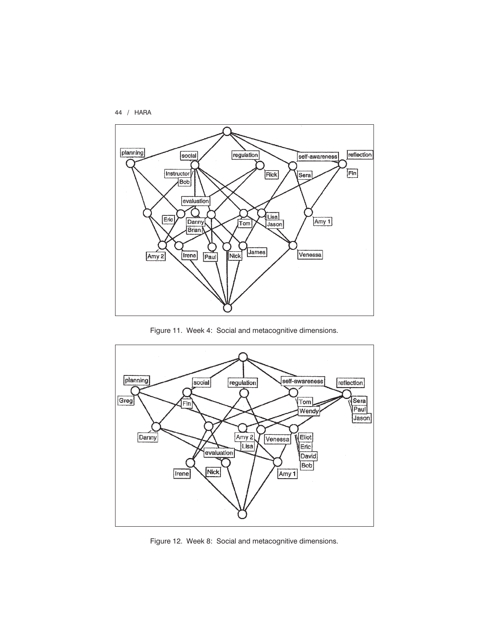



Figure 11. Week 4: Social and metacognitive dimensions.



Figure 12. Week 8: Social and metacognitive dimensions.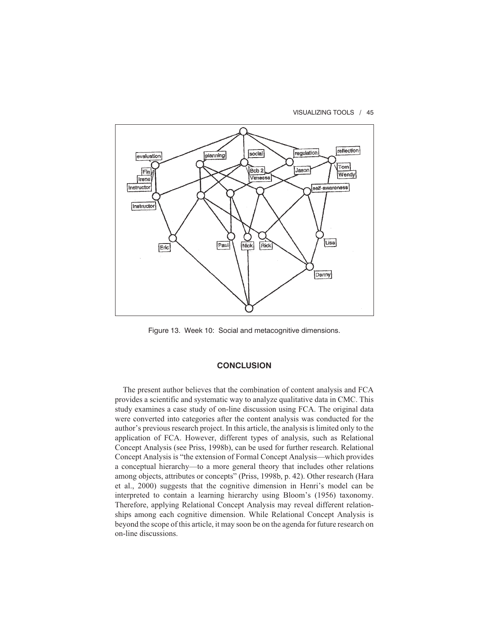VISUALIZING TOOLS / 45



Figure 13. Week 10: Social and metacognitive dimensions.

## **CONCLUSION**

The present author believes that the combination of content analysis and FCA provides a scientific and systematic way to analyze qualitative data in CMC. This study examines a case study of on-line discussion using FCA. The original data were converted into categories after the content analysis was conducted for the author's previous research project. In this article, the analysis is limited only to the application of FCA. However, different types of analysis, such as Relational Concept Analysis (see Priss, 1998b), can be used for further research. Relational Concept Analysis is "the extension of Formal Concept Analysis—which provides a conceptual hierarchy—to a more general theory that includes other relations among objects, attributes or concepts" (Priss, 1998b, p. 42). Other research (Hara et al., 2000) suggests that the cognitive dimension in Henri's model can be interpreted to contain a learning hierarchy using Bloom's (1956) taxonomy. Therefore, applying Relational Concept Analysis may reveal different relationships among each cognitive dimension. While Relational Concept Analysis is beyond the scope of this article, it may soon be on the agenda for future research on on-line discussions.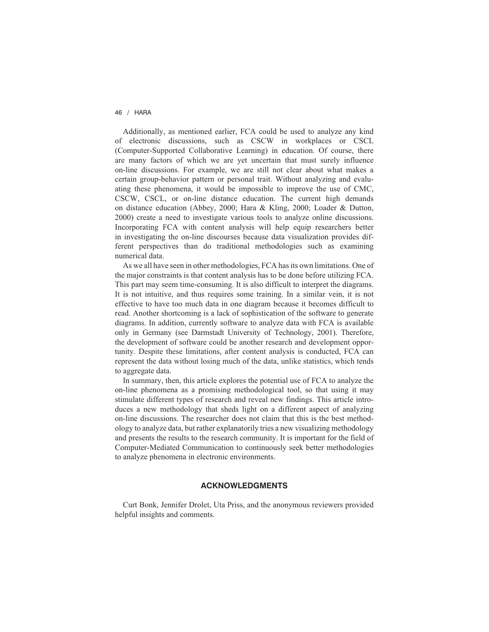Additionally, as mentioned earlier, FCA could be used to analyze any kind of electronic discussions, such as CSCW in workplaces or CSCL (Computer-Supported Collaborative Learning) in education. Of course, there are many factors of which we are yet uncertain that must surely influence on-line discussions. For example, we are still not clear about what makes a certain group-behavior pattern or personal trait. Without analyzing and evaluating these phenomena, it would be impossible to improve the use of CMC, CSCW, CSCL, or on-line distance education. The current high demands on distance education (Abbey, 2000; Hara & Kling, 2000; Loader & Dutton, 2000) create a need to investigate various tools to analyze online discussions. Incorporating FCA with content analysis will help equip researchers better in investigating the on-line discourses because data visualization provides different perspectives than do traditional methodologies such as examining numerical data.

As we all have seen in other methodologies, FCA has its own limitations. One of the major constraints is that content analysis has to be done before utilizing FCA. This part may seem time-consuming. It is also difficult to interpret the diagrams. It is not intuitive, and thus requires some training. In a similar vein, it is not effective to have too much data in one diagram because it becomes difficult to read. Another shortcoming is a lack of sophistication of the software to generate diagrams. In addition, currently software to analyze data with FCA is available only in Germany (see Darmstadt University of Technology, 2001). Therefore, the development of software could be another research and development opportunity. Despite these limitations, after content analysis is conducted, FCA can represent the data without losing much of the data, unlike statistics, which tends to aggregate data.

In summary, then, this article explores the potential use of FCA to analyze the on-line phenomena as a promising methodological tool, so that using it may stimulate different types of research and reveal new findings. This article introduces a new methodology that sheds light on a different aspect of analyzing on-line discussions. The researcher does not claim that this is the best methodology to analyze data, but rather explanatorily tries a new visualizing methodology and presents the results to the research community. It is important for the field of Computer-Mediated Communication to continuously seek better methodologies to analyze phenomena in electronic environments.

### **ACKNOWLEDGMENTS**

Curt Bonk, Jennifer Drolet, Uta Priss, and the anonymous reviewers provided helpful insights and comments.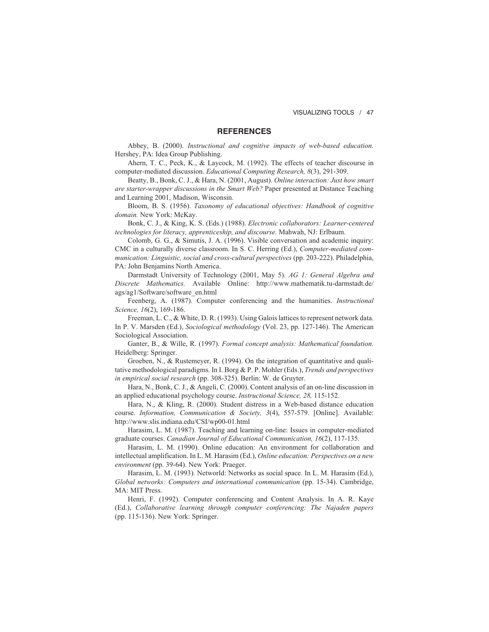### **REFERENCES**

Abbey, B. (2000). *Instructional and cognitive impacts of web-based education.* Hershey, PA: Idea Group Publishing.

Ahern, T. C., Peck, K., & Laycock, M. (1992). The effects of teacher discourse in computer-mediated discussion. *Educational Computing Research, 8*(3), 291-309.

Beatty, B., Bonk, C. J., & Hara, N. (2001, August). *Online interaction: Just how smart are starter-wrapper discussions in the Smart Web?* Paper presented at Distance Teaching and Learning 2001, Madison, Wisconsin.

Bloom, B. S. (1956). *Taxonomy of educational objectives: Handbook of cognitive domain.* New York: McKay.

Bonk, C. J., & King, K. S. (Eds.) (1988). *Electronic collaborators: Learner-centered technologies for literacy, apprenticeship, and discourse.* Mahwah, NJ: Erlbaum.

Colomb, G. G., & Simutis, J. A. (1996). Visible conversation and academic inquiry: CMC in a culturally diverse classroom. In S. C. Herring (Ed.), *Computer-mediated communication: Linguistic, social and cross-cultural perspectives* (pp. 203-222). Philadelphia, PA: John Benjamins North America.

Darmstadt University of Technology (2001, May 5). *AG 1: General Algebra and Discrete Mathematics.* Available Online: http://www.mathematik.tu-darmstadt.de/ ags/ag1/Software/software\_en.html

Feenberg, A. (1987). Computer conferencing and the humanities. *Instructional Science, 16*(2), 169-186.

Freeman, L. C., & White, D. R. (1993). Using Galois lattices to represent network data. In P. V. Marsden (Ed.), *Sociological methodology* (Vol. 23, pp. 127-146). The American Sociological Association.

Ganter, B., & Wille, R. (1997). *Formal concept analysis: Mathematical foundation.* Heidelberg: Springer.

Groeben, N., & Rustemeyer, R. (1994). On the integration of quantitative and qualitative methodological paradigms. In I. Borg & P. P. Mohler (Eds.), *Trends and perspectives in empirical social research* (pp. 308-325). Berlin: W. de Gruyter.

Hara, N., Bonk, C. J., & Angeli, C. (2000). Content analysis of an on-line discussion in an applied educational psychology course. *Instructional Science, 28,* 115-152.

Hara, N., & Kling, R. (2000). Student distress in a Web-based distance education course. *Information, Communication & Society, 3*(4), 557-579. [Online]. Available: http://www.slis.indiana.edu/CSI/wp00-01.html

Harasim, L. M. (1987). Teaching and learning on-line: Issues in computer-mediated graduate courses. *Canadian Journal of Educational Communication, 16*(2), 117-135.

Harasim, L. M. (1990). Online education: An environment for collaboration and intellectual amplification. In L. M. Harasim (Ed.), *Online education: Perspectives on a new environment* (pp. 39-64). New York: Praeger.

Harasim, L. M. (1993). Networld: Networks as social space. In L. M. Harasim (Ed.), *Global networks: Computers and international communication* (pp. 15-34). Cambridge, MA: MIT Press.

Henri, F. (1992). Computer conferencing and Content Analysis. In A. R. Kaye (Ed.), *Collaborative learning through computer conferencing: The Najaden papers* (pp. 115-136). New York: Springer.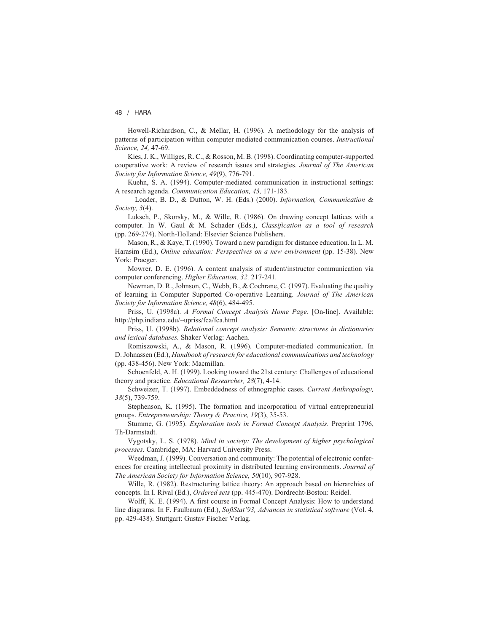Howell-Richardson, C., & Mellar, H. (1996). A methodology for the analysis of patterns of participation within computer mediated communication courses. *Instructional Science, 24,* 47-69.

Kies, J. K., Williges, R. C., & Rosson, M. B. (1998). Coordinating computer-supported cooperative work: A review of research issues and strategies. *Journal of The American Society for Information Science, 49*(9), 776-791.

Kuehn, S. A. (1994). Computer-mediated communication in instructional settings: A research agenda. *Communication Education, 43,* 171-183.

Loader, B. D., & Dutton, W. H. (Eds.) (2000). *Information, Communication & Society, 3*(4).

Luksch, P., Skorsky, M., & Wille, R. (1986). On drawing concept lattices with a computer. In W. Gaul & M. Schader (Eds.), *Classification as a tool of research* (pp. 269-274). North-Holland: Elsevier Science Publishers.

Mason, R., & Kaye, T. (1990). Toward a new paradigm for distance education. In L. M. Harasim (Ed.), *Online education: Perspectives on a new environment* (pp. 15-38). New York: Praeger.

Mowrer, D. E. (1996). A content analysis of student/instructor communication via computer conferencing. *Higher Education, 32,* 217-241.

Newman, D. R., Johnson, C., Webb, B., & Cochrane, C. (1997). Evaluating the quality of learning in Computer Supported Co-operative Learning. *Journal of The American Society for Information Science, 48*(6), 484-495.

Priss, U. (1998a). *A Formal Concept Analysis Home Page.* [On-line]. Available: http://php.indiana.edu/~upriss/fca/fca.html

Priss, U. (1998b). *Relational concept analysis: Semantic structures in dictionaries and lexical databases.* Shaker Verlag: Aachen.

Romiszowski, A., & Mason, R. (1996). Computer-mediated communication. In D. Johnassen (Ed.), *Handbook of research for educational communications and technology* (pp. 438-456). New York: Macmillan.

Schoenfeld, A. H. (1999). Looking toward the 21st century: Challenges of educational theory and practice. *Educational Researcher, 28*(7), 4-14.

Schweizer, T. (1997). Embeddedness of ethnographic cases. *Current Anthropology, 38*(5), 739-759.

Stephenson, K. (1995). The formation and incorporation of virtual entrepreneurial groups. *Entrepreneurship: Theory & Practice, 19*(3), 35-53.

Stumme, G. (1995). *Exploration tools in Formal Concept Analysis.* Preprint 1796, Th-Darmstadt.

Vygotsky, L. S. (1978). *Mind in society: The development of higher psychological processes.* Cambridge, MA: Harvard University Press.

Weedman, J. (1999). Conversation and community: The potential of electronic conferences for creating intellectual proximity in distributed learning environments. *Journal of The American Society for Information Science, 50*(10), 907-928.

Wille, R. (1982). Restructuring lattice theory: An approach based on hierarchies of concepts. In I. Rival (Ed.), *Ordered sets* (pp. 445-470). Dordrecht-Boston: Reidel.

Wolff, K. E. (1994). A first course in Formal Concept Analysis: How to understand line diagrams. In F. Faulbaum (Ed.), *SoftStat'93, Advances in statistical software* (Vol. 4, pp. 429-438). Stuttgart: Gustav Fischer Verlag.